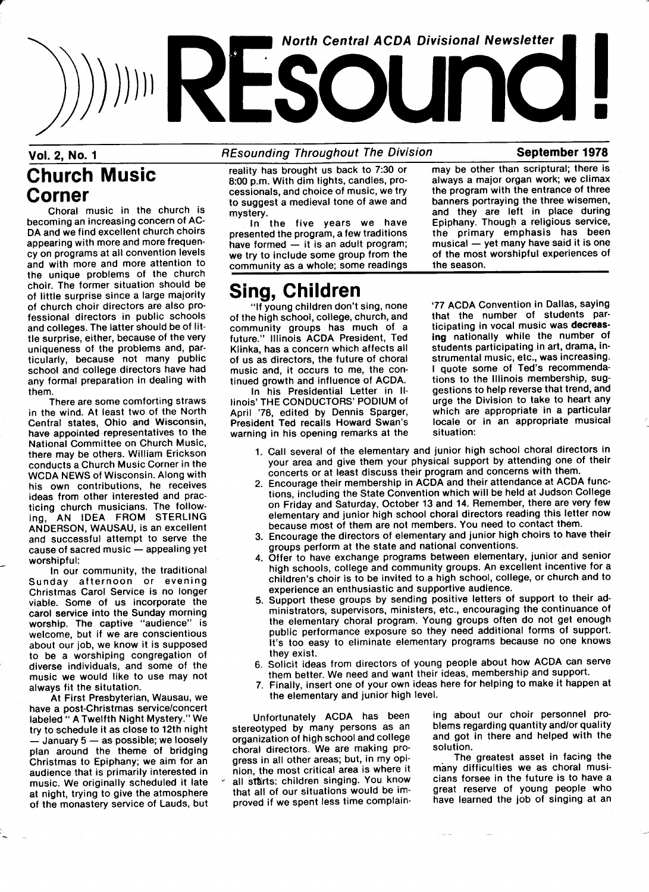# $\binom{(1, 2, 2, 3, 1)}{1}$ **North Central ACDA Divisional Newsletter**

#### Vol. 2, No. 1 **REsounding Throughout The Division** September 1978

# Church Music Corner

Choral music in the church is becoming an increasing concern of AC-DA and we find excellent church choirs appearing with more and more frequency on programs at all convention levels and with more and more attention to the unique problems of the church choir. The former situation should be of little surprise since a large majority of church choir directors are also professional directors in public schools and colleges. The latter should be of little surprise, either, because of the very uniqueness of the problems and, particularly, because not many public school and college directors have had any formal preparation in dealing with them.

There are some comforting straws in the wind. At least two of the North Central states, Ohio and Wisconsin, have appointed representatives to the National Committee on Church Music, there may be others. William Erickson conducts a Church Music Corner in the WCDA NEWS of Wisconsin. Along with his own contributions, he receives ideas from other interested and practicing church musicians. The following, AN IDEA FROM STERLING ANDEPSON, WAUSAU, is an excellent and successful attempt to serve the cause of sacred music - appealing yet worshipful:

ln our community, the traditional Sunday afternoon or evening Christmas Carol Service is no longer viable. Some of us incorporate the carol service into the Sunday morning worship. The captive "audience" is welcome, but if we are conscientious about our job, we know it is supposed to be a worshiping congregation of diverse individuals, and some of the music we would like to use may not always fit the situtation.

At First Presbyterian, Wausau, we have a post-Christmas service/concert labeled " A Twelfth Night Mystery." We try to schedule it as close to 12th night  $-$  January  $5 -$  as possible; we loosely plan around the theme of bridging Christmas to Epiphany; we aim for an audience that is primarily interested in music. We originally scheduled it late at night, trying to give the atmosphere of the monastery service of Lauds, but reality has brought us back to 7:30 or 8:00 p.m. With dim lights, candles, processionals, and choice of music, we try to suggest a medieval tone of awe and mystery.

In the five years we have presented the program, a few traditions have formed  $-$  it is an adult program; we try to include some group from the community as a whole; some readings

# **Sing, Children**<br>"If young children don't sing, none

of the high school, college, church, and that the number of students par-<br>community groups has much of a ticipating in vocal music was decreasfuture." Illinois ACDA President, Ted ing nationally while the number of Klinka has a concern which affects all students participating in art, drama, in-Klinka, has a concern which affects all students participating in art, drama, in-<br>of us as directors, the future of choral strumental music, etc., was increasing. of us as directors, the future of choral music, and, it occurs to me, the con-

April '78, edited by Dennis Sparger,<br>President Ted recalls Howard Swan's warning in his opening remarks at the may be other than scriptural; there is always a major organ work; we climax the program with the entrance of three banners portraying the three wisemen, and they are left in place during Epiphany. Though a religious service. the primary emphasis has been  $musical - yet many have said it is one$ of the most worshipful experiences of the season.

'77 ACDA Convention in Dallas, saying community groups has much of a ticipating in vocal music was decreas-<br>future it illinois ACDA President. Ted ing nationally while the number of I quote some of Ted's recommenda-<br>tions to the Illinois membership, sugtinued growth and influence of ACDA. tions to the Illinois membership, sug-<br>In his Presidential Letter in II- gestions to help reverse that trend, and In his Presidential Letter in II- gestions to help reverse that trend, and<br>s' THE CONDUCTORS' PODIUM of urge the Division to take to heart any linois' THE CONDUCTORS' PODIUM of urge the Division to take to heart any<br>April '78, edited by Dennis Sparger, which are appropriate in a particular locale or in an appropriate musical<br>situation:

- 1. Call several of the elementary and junior high school choral directors in your area and give them your physical support by attending one of their concerts or at least discuss their program and concerns with them.
- 2. Encourage their membership in ACDA and their attendance at ACDA functions, including the State Convention which will be held at Judson College on Friday and Saturday, October 13 and 14. Remember, there are very few elementary and junior high school choral directors reading this letter now because most of them are not members. You need to contact them.
- 3. Encourage the directors of elementary and junior high choirs to have their groups perform at the state and national conventions.
- Offer to have exchange programs between elementary, junior and senior high schools, college and community groups. An excellent incentive for a children's choir is to be invited to a high school, college, or church and to experience an enthusiastic and supportive audience.
- 5. Support these groups by sending positive letters of support to their administrators, supervisors, ministers, etc., encouraging the continuance of the elementary choral program. Young groups often do not get enough public performance exposure so they need additional forms of support. It's too easy to eliminate elementary programs because no one knows they exist.
- 6. Solicit ideas from directors of young people about how ACDA can serve them better. We need and want their ideas, membership and support.
- 7. Finally, insert one of your own ideas here for helping to make it happen at the elementary and junior high level.

Unfortunately ACDA has been stereotyped by many persons as an organization of high school and college choral directors. We are making progress in all other areas; but, in my opinion, the most critical area is where it all starts: children singing. You know that all of our situations would be improved if we spent less time complain-

ing about our choir personnel problems regarding quantity and/or quality and got in there and helped with the solution.

The greatest asset in facing the many difficulties we as choral musicians forsee in the future is to have a great reserve of young people who have learned the job of singing at an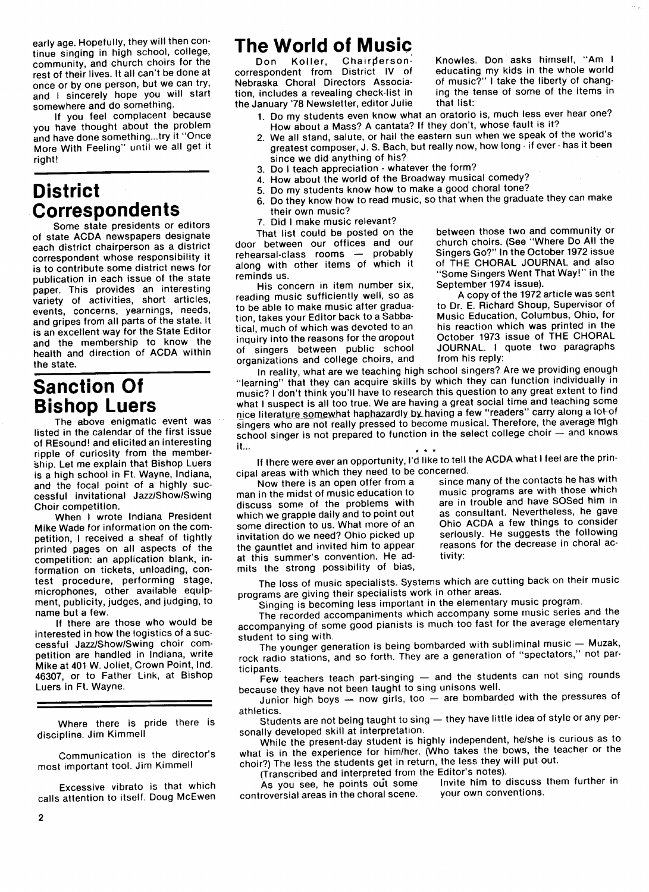early age. Hopefully, they will then continue singing in high school, college, community, and church choirs for the rest of their lives. It all can't be done at once or by one person, but we can try, and I sincerely hope you will start somewhere and do something.

If you feel complacent because you have thought about the problem and have done something...try it "Once More With Feeling" until we all get it right!

#### **District Correspondents**

Some state presidents or editors of state ACDA newspapers designate each district chairperson as a district correspondent whose responsibility it is to contribute some district news for publication in each issue of the state paper. This provides an interesting variety of activities, short articles, events, concerns, yearnings, needs, and gripes from all parts of the state. It is an excellent way for the State Editor and the membership to know the health and direction of ACDA within the state.

#### Sanction Of Bishop Luers

The above enigmatic event was listed in the calendar of the first issue of REsound! and elicited an interesting ripple of curiosity from the member-<br>ship. Let me explain that Bishop Luers is a high school in Ft. Wayne, Indiana, and the focal point of a highly successful invitational Jazz/Show/Swing Choir competition.

When I wrote Indiana President Mike Wade for information on the competition, I received a sheaf of tightly printed pages on all aspects of the competition: an application blank, information on tickets, unloading, con. test procedure, performing stage, microphones, other available equipment, publicity, judges, and judging, to name but a few.

If there are those who would be interested in how the logistics of a successful Jazz/Show/Swing choir competition are handled in Indiana, write Mike at 401 W. Joliet, Crown Point, lnd. 46307, or to Father Link, at Bishop Luers in Ft. Wayne.

Where there is pride there is discipline. Jim Kimmell

Communication is the director's most important tool. Jim Kimmell

Excessive vibrato is that which calls attention to itself. Doug McEwen

2

### The World of Music

Don Koller, Chairpersoncorrespondent from District lv of Nebraska Choral Directors Association, includes a revealing check-list in the January '78 Newsletter, editor Julie

of music?" I take the liberty of changing the tense of some of the items in that list:

Knowles. Don asks himself, "Am I educating my kids in the whole world

- 1. Do my students even know what an oratorio is, much less ever hear one? How about a Mass? A cantata? If they don't, whose fault is it?
- 2. We all stand, salute, or hail the eastern sun when we speak of the world's greatest composer, J. S. Bach, but really now, how long -if ever -has it been since we did anything of his?
- 3. Do I teach appreciation -whatever the form?
- 4. How about the world of the Broadway musical comedy?
- 5. Do my students know how to make a good choral tone?
- 6. Do they know how to read music, so that when the graduate they can make
- their own music?

7. Did I make music relevant?<br>That list could be posted on the door between our offices and our rehearsal-class rooms - probably along with other items of which it reminds us.

His concern in item number six, reading music sufficiently well, so as to be able to make music after graduation, takes your Editor back to a Sabbatical, much of which was devoted to an inquiry into the reasons for the aropout of singers between public school organizations and college choirs, and between those two and community or<br>church choirs. (See "Where Do All the Singers Go?" In the October 1972 issue of THE CHORAL JOURNAL and also "Some Singers Went That Way!" in the September 1974 issue).

A copy of the 1972 article was sent to Dr. E. Richard Shoup, Supervisor of Music Education, Columbus, Ohio, for his reaction which was printed in the October 1973 issue of THE CHORAL JOURNAL. I quote two paragraphs from his reply:

In reality, what are we teaching high school singers? Are we providing enough "learning" that they can acquire skills by which they can function individually in music? I don't think you'll have to research this question to any great extent to find what I suspect is all too true. We are having a great social time and teaching some nice literature somewhat haphazardly by having a few "readers" carry along a lot-of singers who are not really pressed to become musical. Therefore, the average migh school singer is not prepared to function in the select college choir  $-$  and knows it... \*\* \*

If there were ever an opportunity, l'd like to tell the ACDA what I feel are the principal areas with which they need to be concerned.

Now there is an open offer from a man in the midst of music education to discuss some of the problems with which we grapple daily and to point out some direction to us. What more of an invitation do we need? Ohio picked up the gauntlet and invited him to appear at this summer's convention. He admits the strong possibility of bias,

since many of the contacts he has with music programs are with those which are in trouble and have Sosed him in as consultant. Nevertheless, he gave Ohio ACDA a few things to consider seriously. He suggests the following reasons for the decrease in choral activity:

The loss of music specialists. Systems which are cutting back on their music programs are giving their specialists work in other areas.

Singing is becoming less important in the elementary music program.

The recorded accompaniments which accompany some music series and the accompanying of some good pianists is much too fast for the average elementary student to sing with.

The younger generation is being bombarded with subliminal music  $-$  Muzak, rock radio stations, and so forth. They are a generation of "spectators," not participants.

Few teachers teach part-singing  $-$  and the students can not sing rounds because they have not been taught to sing unisons well.

Junior high boys  $-$  now girls, too  $-$  are bombarded with the pressures of athletics.

Students are not being taught to sing - they have little idea of style or any personally developed skill at interpretation.

While the present-day student is highly independent, he/she is curious as to what is in the experience for him/her. (Who takes the bows, the teacher or the choir?) The less the students get in return, the less they will put out.

(Transcribed and interpreted from the Editor's notes).<br>As you see, he points out some linvite him to discuss them further in controversial areas in the choral scene. your own conventions.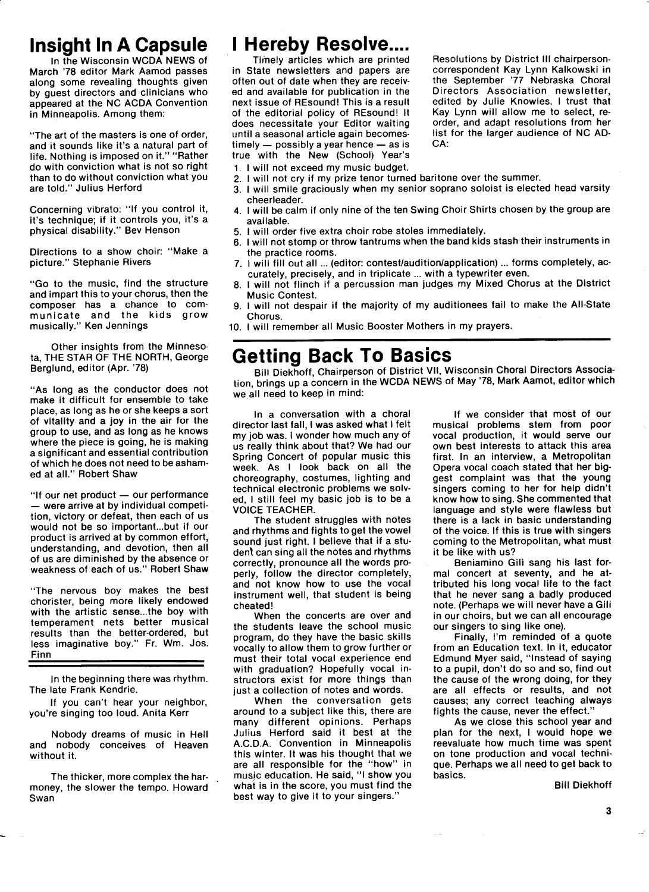# Insight ln A Capsule

ln the Wisconsin WCDA NEWS of March '78 editor Mark Aamod passes along some revealing thoughts given by guest directors and clinicians who appeared at the NC ACDA Convention in Minneapolis. Among them:

"The art of the masters is one of order, and it sounds like it's a natural part of life. Nothing is imposed on it." "Rather do with conviction what is not so right than to do without conviction what you are told." Julius Herford

Concerning vibrato: "lf you control it, it's technique; if it controls you, it's a physical disability." Bev Henson

Directions to a show choir: "Make a picture." Stephanie Rivers

"Go to the music, find the structure and impart this to your chorus, then the composer has a chance to communicate and the kids grow musically." Ken Jennings

Other insights from the Minnesota, THE STAR OF THE NORTH, George Berglund, editor (Apr. '78)

"As long as the conductor does not make it difficult for ensemble to take place, as long as he or she keeps a sort of vitality and a joy in the air for the group to use, and as long as he knows where the piece is going, he is making a significant and essential contribution of which he does not need to be ashamed at all." Robert Shaw

"If our net product - our performance -were arrive at by individual competition, victory or defeat, then each of us would not be so important...but if our product is arrived at by common effort, understanding, and devotion, then all of us are diminished by the absence or weakness of each of us." Robert Shaw

"The nervous boy makes the best chorister, being more likely endowed with the artistic sense...the boy with temperament nets better musical results than the better-ordered, but less imaginative boy." Fr. Wm. Jos. Finn

ln the beginning there was rhythm. The late Frank Kendrie.

If you can't hear your neighbor, you're singing too loud. Anita Kerr

Nobody dreams of music in Hell and nobody conceives of Heaven without it.

The thicker, more complex the harmoney, the slower the tempo. Howard Swan

# **I Hereby Resolve....**

Timely articles which are printed in State newsletters and papers are often out of date when they are received and available for publication in the next issue of BEsound! This is a result of the editorial policy of REsound! It does necessitate your Editor waiting until a seasonal article again becomes $timely$  - possibly a year hence - as is true with the New (School) Year's

Resolutions by District III chairpersoncorrespondent Kay Lynn Kalkowski in the September '77 Nebraska Choral Directors Association newsletter, edited by Julie Knowles. I trust that Kay Lynn will allow me to select, reorder, and adapt resolutions from her list for the larger audience of NC AD-CA:

- 1. I will not exceed my music budget.
- I will not cry if my prize tenor turned baritone over the summer.
- 3. I will smile graciously when my senior soprano soloist is elected head varsity cheerleader.
- 4. I will be calm if only nine of the ten Swing Choir Shirts chosen by the group are available.
- 5, I will order five extra choir robe stoles immediately.
- 6. I will not stomp or throw tantrums when the band kids stash their instruments in the practice rooms.
- 7. I will fill out all ... (editor: contest/audition/application) ... forms completely, accurately, precisely, and in triplicate ... with a typewriter even.
- 8. I will not flinch if a percussion man judges my Mixed Chorus at the District Music Contest.
- 9. I will not despair if the majority of my auditionees fail to make the All-State Chorus.
- 10. I will remember all Music Booster Mothers in my prayers.

## Getting Back To Basics

Bill Diekhoff, Chairperson of District Vll, Wisconsin Choral Directors Association, brings up a concern in the WCDA NEWS of May '78, Mark Aamot, editor which we all need to keep in mind:

ln a conversation with a choral director last fall, I was asked what I felt my job was. I wonder how much any of us really think about that? We had our Spring Concert of popular music this week. As I look back on all the choreography, costumes, lighting and technical electronic problems we solved, I still feel my basic job is to be a VOICE TEACHER.

The student struggles with notes and rhythms and fights to get the vowel<br>sound just right. I believe that if a student can sing all the notes and rhythms correctly, pronounce all the words properly, follow the director completely, and not know how to use the vocal instrument well, that student is being cheated!

When the concerts are over and the students leave the school music program, do they have the basic skills vocally to allow them to grow further or must their total vocal experience end with graduation? Hopefully vocal instructors exist for more things than just a collection of notes and words.

When the conversation gets around to a subject like this, there are many different opinions. Perhaps Julius Herford said it best at the A.C.D.A. Convention in Minneapolis this winter. It was his thought that we are all responsible for the "how" in musjc education. He said, "I show you what is in the score, you must find the best way to give it to your singers."

lf we consider that most of our musical problems stem from poor vocal production, it would serve our own best interests to attack this area first. In an interview, a Metropolitan Opera vocal coach stated that her biggest complaint was that the young singers coming to her for help didn't know how to sing. She commented that language and style were flawless but there is a lack in basic understanding of the voice. If this is true with singers coming to the Metropolitan, what must it be like with us?

Beniamino Gili sang his last formal concert at seventy, and he attributed his long vocal life to the fact that he never sang a badly produced note. (Perhaps we will never have a Gili in our choirs, but we can all encourage our singers to sing like one).

Finally, l'm reminded of a quote from an Education text. In it, educator Edmund Myer said, "Instead of saying to a pupil, don't do so and so, find out the cause of the wrong doing, for they are all effects or results, and not causes; any correct teaching always fights the cause, never the effect."

As we close this school year and plan for the next, I would hope we reevaluate how much time was spent on tone production and vocal technique. Perhaps we all need to get back to basics.

Bill Diekhoff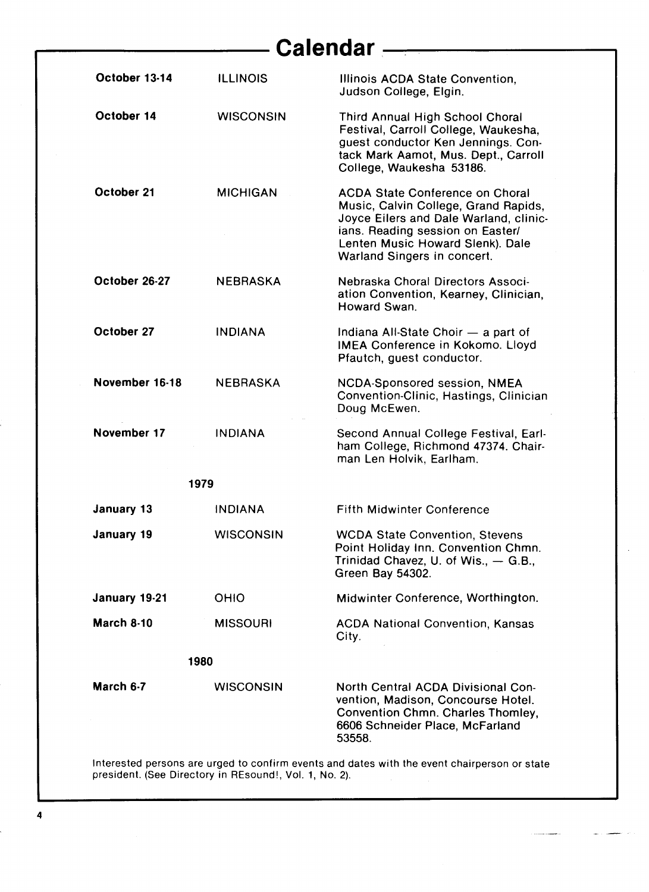# **Calendar** ————————————————————

| October 13-14                                                                                | <b>ILLINOIS</b>  | Illinois ACDA State Convention,<br>Judson College, Elgin.                                                                                                                                                                       |
|----------------------------------------------------------------------------------------------|------------------|---------------------------------------------------------------------------------------------------------------------------------------------------------------------------------------------------------------------------------|
| October 14                                                                                   | <b>WISCONSIN</b> | Third Annual High School Choral<br>Festival, Carroll College, Waukesha,<br>guest conductor Ken Jennings. Con-<br>tack Mark Aamot, Mus. Dept., Carroll<br>College, Waukesha 53186.                                               |
| October 21                                                                                   | <b>MICHIGAN</b>  | <b>ACDA State Conference on Choral</b><br>Music, Calvin College, Grand Rapids,<br>Joyce Eilers and Dale Warland, clinic-<br>ians. Reading session on Easter/<br>Lenten Music Howard Slenk). Dale<br>Warland Singers in concert. |
| October 26-27                                                                                | <b>NEBRASKA</b>  | Nebraska Choral Directors Associ-<br>ation Convention, Kearney, Clinician,<br>Howard Swan.                                                                                                                                      |
| October 27                                                                                   | <b>INDIANA</b>   | Indiana All-State Choir - a part of<br><b>IMEA Conference in Kokomo. Lloyd</b><br>Pfautch, guest conductor.                                                                                                                     |
| November 16-18                                                                               | <b>NEBRASKA</b>  | NCDA-Sponsored session, NMEA<br>Convention-Clinic, Hastings, Clinician<br>Doug McEwen.                                                                                                                                          |
| November 17                                                                                  | <b>INDIANA</b>   | Second Annual College Festival, Earl-<br>ham College, Richmond 47374. Chair-<br>man Len Holvik, Earlham.                                                                                                                        |
| 1979                                                                                         |                  |                                                                                                                                                                                                                                 |
| January 13                                                                                   | <b>INDIANA</b>   | <b>Fifth Midwinter Conference</b>                                                                                                                                                                                               |
| January 19                                                                                   | <b>WISCONSIN</b> | <b>WCDA State Convention, Stevens</b><br>Point Holiday Inn. Convention Chmn.<br>Trinidad Chavez, U. of Wis., - G.B.,<br>Green Bay 54302.                                                                                        |
| January 19-21                                                                                | <b>OHIO</b>      | Midwinter Conference, Worthington.                                                                                                                                                                                              |
| March 8-10                                                                                   | <b>MISSOURI</b>  | <b>ACDA National Convention, Kansas</b><br>City.                                                                                                                                                                                |
| 1980                                                                                         |                  |                                                                                                                                                                                                                                 |
| March 6-7                                                                                    | <b>WISCONSIN</b> | North Central ACDA Divisional Con-<br>vention, Madison, Concourse Hotel.<br>Convention Chmn. Charles Thomley,<br>6606 Schneider Place, McFarland<br>53558.                                                                      |
| Interested persons are urged to confirm events and dates with the event chairperson or state |                  |                                                                                                                                                                                                                                 |

president. (See Directory in PIEsound!, Vol.1, No. 2).

4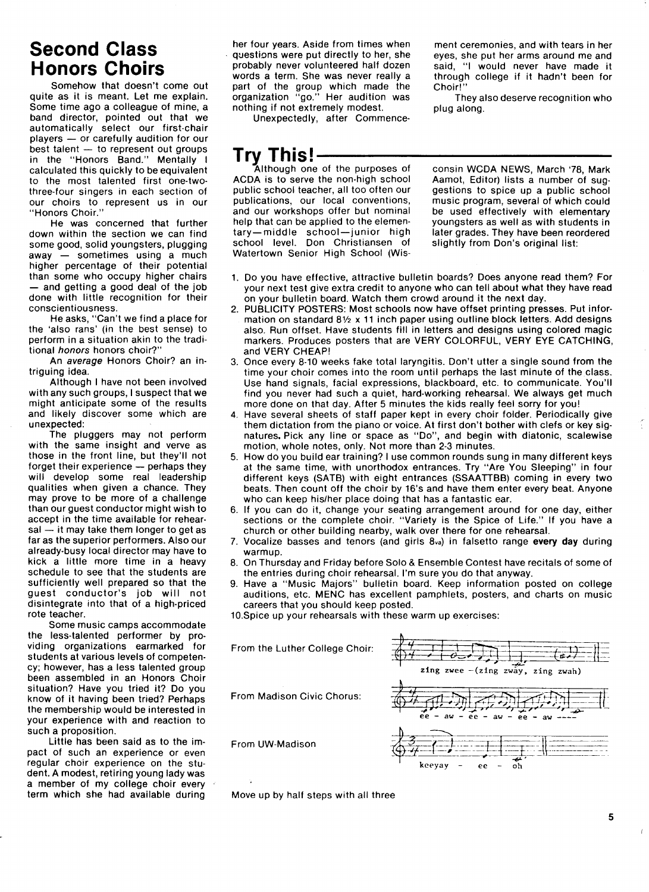#### Second Class Honors Choirs

Somehow that doesn't come out quite as it is meant. Let me explain. Some time ago a colleague of mine, a band director, pointed out that we automatically select our first-chair players  $-$  or carefully audition for our  $best$  talent  $-$  to represent out groups in the "Honors Band." Mentally I calculated this quickly to be equivalent to the most talented first one-twothree-four singers in each section of our choirs to represent us in our "Honors Choir."

He was concerned that further down within the section we can find some good, solid youngsters, plugging  $away - sometimes using a much$ higher percentage of their potential than some who occupy higher chairs - and getting a good deal of the job done with little recognition for their conscientiousness.

He asks, "Can't we find a place for the `also rans' (in the best sense) to perform in a situation akin to the traditional honors honors choir?"

An average Honors Choir? an intriguing idea.

Although I have not been involved with any such groups, I suspect that we might anticipate some of the results and likely discover some which are unexpected:

The pluggers may not perform with the same insight and verve as those in the front line, but they'll not forget their experience  $-$  perhaps they will develop some real leadership qualities when given a chance. They may prove to be more of a challenge than our guest conductor might wish to accept in the time available for rehear $sal - it$  may take them longer to get as far as the superior performers. Also our already-busy local director may have to kick a little more time in a heavy schedule to see that the students are sufficiently well prepared so that the guest conductor's job will not disintegrate into that of a high-priced rote teacher.

Some music camps accommodate the less-talented performer by providing organizations earmarked for students at various levels of competency; however, has a less talented group been assembled in an Honors Choir situation? Have you tried it? Do you know of it having been tried? Perhaps the membership would be interested in your experience with and reaction to such a proposition.

Little has been said as to the impact of such an experience or even regular choir experience on the student. A modest, retiring young lady was a member of my college choir every term which she had available during

her four years. Aside from times when questions were put directly to her, she probably never volunteered half dozen words a term. She was never really a part of the group which made the organization "go." Her audition was nothing if not extremely modest.

Unexpectedly, after Commence-

ment ceremonies, and with tears in her eyes, she put her arms around me and said, "I would never have made it through college if it hadn't been for Choir!"

They also deserve recognition who plug along.

# Try<sub>...</sub>this!—————

ACDA is to serve the non-high school public school teacher, all too often our publications, our local conventions, and our workshops offer but nominal help that can be applied to the elementary-middle school-junior high school level. Don Christiansen of Watertown Senior High School (Wis-

consin WCDA NEWS, March `78, Mark Aamot, Editor) lists a number of suggestions to spice up a public school music program, several of which could be used effectively with elementary youngsters as well as with students in later grades. They have been reordered slightly from Don's original list:

- 1. Do you have effective, attractive bulletin boards? Does anyone read them? For your next test give extra credit to anyone who can tell about what they have read on your bulletin board. Watch them crowd around it the next day.
- 2. PUBLICITY POSTERS: Most schools now have offset printing presses. Put information on standard 81/2 x 11 inch paper using outline block letters. Add designs also. Run offset. Have students fill in letters and designs using colored magic markers. Produces posters that are VERY COLORFUL, VERY EYE CATCHING, and VEBY CHEAP!
- 3. Once every 8-10 weeks fake total laryngitis. Don't utter a single sound from the time your choir comes into the room until perhaps the last minute of the class. Use hand signals, facial expressions, blackboard, etc. to communicate. You'll find you never had such a quiet, hard-working rehearsal. We always get much more done on that day. After 5 minutes the kids really feel sorry for you!
- 4. Have several sheets of staff paper kept in every choir folder. Periodically give them dictation from the piano or voice. At first don't bother with clefs or key signatures. Pick any line or space as "Do", and begin with diatonic, scalewise motion, whole notes, only. Not more than 2-3 minutes.
- 5. How do you build ear training? I use common rounds sung in many different keys at the same time, with unorthodox entrances. Try "Are You Sleeping" in four different keys (SATB) with eight entrances (SSAATTBB) coming in every two beats. Then count off the choir by 16's and have them enter every beat. Anyone who can keep his/her place doing that has a fantastic ear.
- 6. If you can do it, change your seating arrangement around for one day, either sections or the complete choir. "Variety is the Spice of Life." If you have a church or other building nearby, walk over there for one rehearsal.
- 7. Vocalize basses and tenors (and girls  $8_{\text{va}}$ ) in falsetto range every day during Warmup.
- 8. On Thursday and Friday before Solo & Ensemble Contest have recitals of some of the entries during choir rehearsal. I'm sure you do that anyway.
- 9. Have a "Music Majors" bulletin board. Keep information posted on college auditions, etc. MENC has excellent pamphlets, posters, and charts on music careers that you should keep posted.

10.Spice up your rehearsals with these warm up exercises:

From the Luther College Choir:

From Madison Civic Chorus:

From UW-Madison



Move up by half steps with all three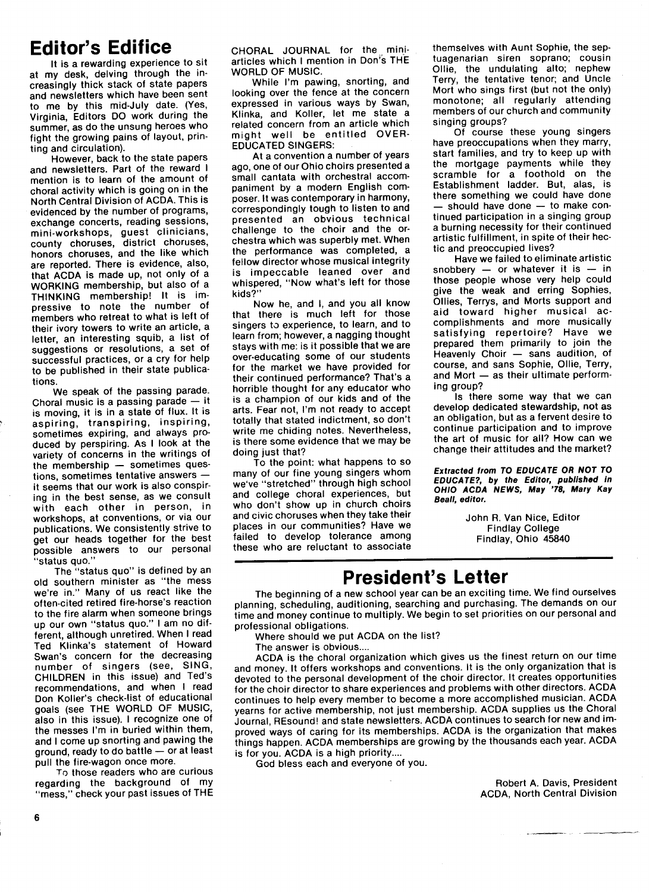### **Editor's Edifice**

lt is a rewarding experience to sit at my desk, delving through the increasingly thick stack of state papers and newsletters which have been sent to me by this mid-July date. (Yes, Virginia, Editors DO work during the summer, as do the unsung heroes who fight the growing pains of layout, printing and circulation).

However, back to the state papers and newsletters. Part of the reward I mention is to learn of the amount of choral activity which is going on in the North Central Division of ACDA. This is evidenced by the number of programs, exchange concerts, reading sessions. mini-workshops, guest clinicians, county choruses, district choruses, honors choruses, and the like which are reported. There is evidence, also, that ACDA is made up, not only of a WOPKING membership, but also of a THINKING membership! It is impressive to note the number of members who retreat to what is left of their ivory towers to write an article, a letter, an interesting squib, a list of suggestions or resolutions, a set of successful practices, or a cry for help to be published in their state publications.

We speak of the passing parade. Choral music is a passing parade  $-$  it is moving, it is in a state of flux. It is aspiring, transpiring, inspiring, sometimes expiring, and always produced by perspiring. As I look at the variety of concerns in the writings of the membership  $-$  sometimes questions, sometimes tentative answers  $$ it seems that our work is also conspiring in the best sense, as we consult with each other in person, in workshops, at conventions, or via our publications. We consistently strive to get our heads together for the best possible answers to our personal "status quo."

The "status quo" is defined by an old southern minister as "the mess we're in." Many of us react like the often-cited retired fire-horse's reaction to the fire alarm when someone brings up our own "status quo." I am no different, although unretired. When I read Ted Klinka's statement of Howard Swan's concern for the decreasing number of singers (see, SING, CHILDREN in this issue) and Ted's recommendations, and when I read Don Koller's check-list of educational goals (see THE WORLD OF MUSIC, also in this issue). I recognize one of the messes I'm in buried within them, and I come up snorting and pawing the ground, ready to do battle - or at least pull the fire-wagon once more.

To those readers who are curious regarding the background of my "mess," check your past issues of THE CHORAL JOURNAL for the miniarticles which I mention in Don's THE WOPLD OF MUSIC.

While l'm pawing, snorting, and looking over the fence at the concern expressed in various ways by Swan, Klinka, and Koller, let me state a related concern from an article which might well be entitled OVER-**EDUCATED SINGERS:** 

At a convention a number of years ago, one of our Ohio choirs presented a small cantata with orchestral accompaniment by a modern English composer. It was contemporary in harmony, correspondingly tough to listen to and presented an obvious technical challenge to the choir and the orchestra which was superbly met. When the performance was completed, a fellow director whose musical integrity is impeccable leaned over and whispered, "Now what's left for those kids?"

Now he, and I, and you all know that there is much left for those singers to experience, to learn, and to learn from; however, a nagging thought stays with me: is it possible that we are over-educating some of our students for the market we have provided for their continued performance? That's a horrible thought for any educator who is a champion of our kids and of the arts. Fear not, l'm not ready to accept totally that stated indictment, so don't write me chiding notes. Nevertheless, is there some evidence that we may be doing just that?

To the point: what happens to so many of our fine young singers whom we've "stretched" through high school and college choral experiences, but who don't show up in church choirs and civic choruses when they take their places in our communities? Have we failed to develop tolerance among these who are reluctant to associate themselves with Aunt Sophie, the septuagenarian siren soprano; cousin Ollie, the undulating alto; nephew Terry, the tentative tenor; and Uncle Mort who sings first (but not the only) monotone; all regularly attending members of our church and community singing groups?

Of course these young singers have preoccupations when they marry, start families, and try to keep up with the mortgage payments while they scramble for a foothold on the Establishment ladder. But, alas, is there something we could have done should have done  $-$  to make continued participation in a singing group a burning necessity for their continued artistic fulfillment, in spite of their hectic and preoccupied lives?

Have we failed to eliminate artistic snobbery  $-$  or whatever it is  $-$  in those people whose very help could give the weak and erring Sophies, 0llies, Terrys, and Morts support and aid toward higher musical accomplishments and more musically satisfying repertoire? Have we prepared them primarily to join the Heavenly Choir  $-$  sans audition, of course, and sans Sophie, Ollie, Terry, and Mort  $-$  as their ultimate performing group?

ls there some way that we can develop dedicated stewardship, not as an obligation, but as a fervent desire to continue participation and to improve the art of music for all? How can we change their attitudes and the market?

Extracted from TO EDUCATE OR NOT TO EDUCATE?, by the Editor, publishod in OHIO ACDA NEWS, May '78, Mary Kay Beall, editor.

> John R. Van Nice, Editor Findlay College Findlay, Ohio 45840

### President's Letter

The beginning of a new school year can be an exciting time. We find ourselves planning, scheduling, auditioning, searching and purchasing. The demands on our time and money continue to multiply. We begin to set priorities on our personal and professional obligations.

Where should we put ACDA on the list?

The answer is obvious....

ACDA is the choral organization which gives us the finest return on our time and money. It offers workshops and conventions. It is the only organization that is devoted to the personal development of the choir director. It creates opportunities for the choir director to share experiences and problems with other directors. ACDA continues to help every member to become a more accomplished musician. ACDA yearns for active membership, not just membership. ACDA supplies us the Choral Journal, REsound! and state newsletters. ACDA continues to search for new and improved ways of caring for its memberships. ACDA is the organization that makes things happen. ACDA memberships are growing by the thousands each year. ACDA is for you. ACDA is a high priority....

God bless each and everyone of you.

Bobert A. Davis, President ACDA, North Central Division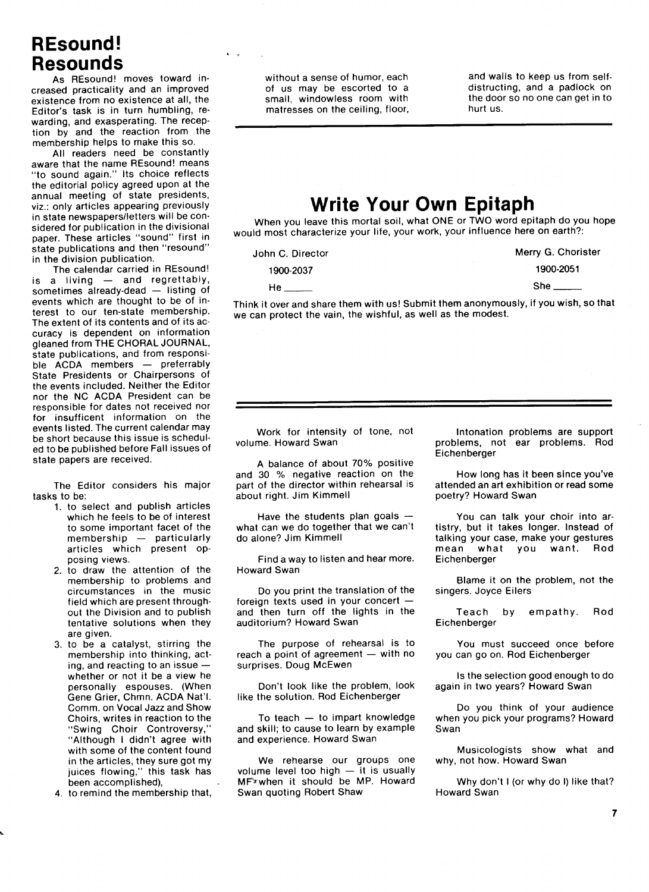#### REsound! Resounds

As REsound! moves toward increased practicality and an improved existence from no existence at all, the Editor's task is in turn humbling, rewarding, and exasperating. The reception by and the reaction from the membership helps to make this so.

All readers need be constantly aware that the name BEsound! means "to sound again." Its choice reflects the editorial policy agreed upon at the annual meeting of state presidents, viz.: only articles appearing previously in state newspapers/letters will be considered for publication in the divisional paper. These articles "sound" first in state publications and then "resound" in the division publication.

The calendar carried in REsound! is a living  $-$  and regrettably, sometimes already-dead - listing of events which are thought to be of interest to our ten-state membership. The extent of its contents and of its accuracy is dependent on information gleaned from THE CHORAL JOURNAL, state publications, and from responsible ACDA members - preferrably State Presidents or Chairpersons of the events included. Neither the Editor nor the NC ACDA President can be responsible for dates not received nor for insufficent information on the events listed. The current calendar may be short because this issue is scheduled to be published before Fall issues of state papers are received.

The Editor considers his major tasks to be:

- 1, to select and publish articles which he feels to be of interest to some important facet of the  $membership$   $-$  particularly articles which present opposing views.
- 2. to draw the attention of the membership to problems and circumstances in the music field which are present throughout the Division and to publish tentative solutions when they are given.
- 3, to be a catalyst, stirring the membership into thinking, acting, and reacting to an issue  $$ whether or not it be a view he personally espouses. (When Gene Grier, Chmn. ACDA Nat'l. Comm. on Vocal Jazz and Show Choirs, writes in reaction to the "Swing Choir Controversy," "Although I didn't agree with with some of the content found in the articles, they sure got my juices flowing," this task has been accomplished),
- 4. to remind the membership that,

without a sense of humor, each of us may be escorted to a small, windowless room with matresses on the ceiling, floor, and walls to keep us from selfdistructing, and a padlock on the door so no one can get in to hurt us.

### Write Your Own Epitaph

When you leave this mortal soil, what ONE or TWO word epitaph do you hope would most characterize your life, your work, your influence here on earth?:

John C. Director 1900-2037

| n C. Director | Merry G. Chorister |
|---------------|--------------------|
| 1900-2037     | 1900-2051          |
| He            | She                |

Think it over and share them with us! Submit them anonymously, if you wish, so that we can protect the vain, the wishful, as well as the modest.

Work for intensity of tone, not volume. Howard Swan

A balance of about 70% positive and 30 % negative reaction on the part of the director within rehearsal is about right. Jim Kimmell

Have the students plan goals  $$ what can we do together that we can't do alone? Jim Kimmell

Find a way to listen and hear more. Howard Swan

Do you print the translation of the foreign texts used in your concert  $$ and then turn off the lights in the auditorium? Howard Swan

The purpose of rehearsal is to reach a point of agreement  $-$  with no surprises. Doug MCEwen

Don't look like the problem, look like the solution. Rod Eichenberger

To teach  $-$  to impart knowledge and skill; to cause to learn by example and experience. Howard Swan

We rehearse our groups one volume level too high  $-$  it is usually MFrwhen it should be MP. Howard Swan quoting Robert Shaw

Intonation problems are support problems, not ear problems. Rod Eichenberger

How long has it been since you've attended an art exhibition or read some poetry? Howard Swan

You can talk your choir into artistry, but it takes longer. Instead of talking your case, make your gestures mean what you want. Pod Eichenberger

BIame it on the problem, not the singers. Joyce Eilers

Teach by empathy. Rod Eichenberger

You must succeed once before you can go on. Bod Eichenberger

ls the selection good enough to do again in two years? Howard Swan

Do you think of your audience when you pick your programs? Howard Swan

Musicologists show what and why, not how. Howard Swan

Why don't I (or why do I) like that? Howard Swan